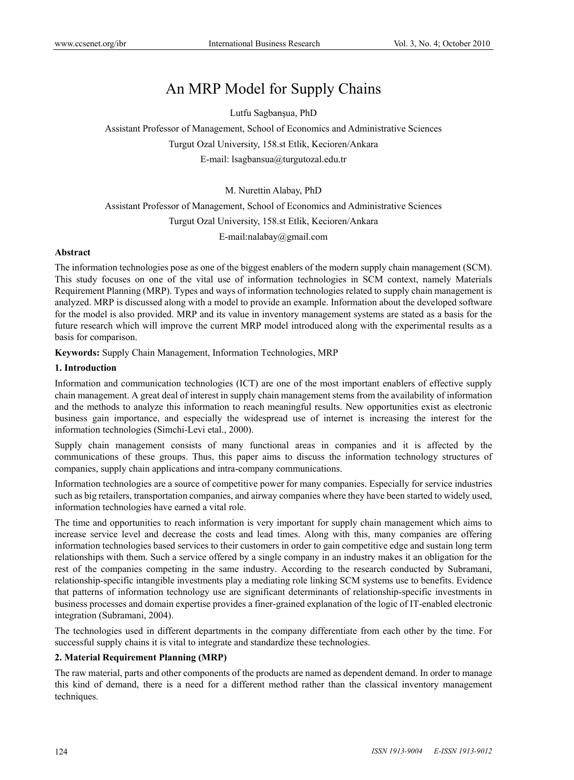# An MRP Model for Supply Chains

# Lutfu Sagbanşua, PhD

# Assistant Professor of Management, School of Economics and Administrative Sciences Turgut Ozal University, 158.st Etlik, Kecioren/Ankara E-mail: lsagbansua@turgutozal.edu.tr

# M. Nurettin Alabay, PhD

Assistant Professor of Management, School of Economics and Administrative Sciences Turgut Ozal University, 158.st Etlik, Kecioren/Ankara E-mail:nalabay@gmail.com

#### **Abstract**

The information technologies pose as one of the biggest enablers of the modern supply chain management (SCM). This study focuses on one of the vital use of information technologies in SCM context, namely Materials Requirement Planning (MRP). Types and ways of information technologies related to supply chain management is analyzed. MRP is discussed along with a model to provide an example. Information about the developed software for the model is also provided. MRP and its value in inventory management systems are stated as a basis for the future research which will improve the current MRP model introduced along with the experimental results as a basis for comparison.

**Keywords:** Supply Chain Management, Information Technologies, MRP

# **1. Introduction**

Information and communication technologies (ICT) are one of the most important enablers of effective supply chain management. A great deal of interest in supply chain management stems from the availability of information and the methods to analyze this information to reach meaningful results. New opportunities exist as electronic business gain importance, and especially the widespread use of internet is increasing the interest for the information technologies (Simchi-Levi etal., 2000).

Supply chain management consists of many functional areas in companies and it is affected by the communications of these groups. Thus, this paper aims to discuss the information technology structures of companies, supply chain applications and intra-company communications.

Information technologies are a source of competitive power for many companies. Especially for service industries such as big retailers, transportation companies, and airway companies where they have been started to widely used, information technologies have earned a vital role.

The time and opportunities to reach information is very important for supply chain management which aims to increase service level and decrease the costs and lead times. Along with this, many companies are offering information technologies based services to their customers in order to gain competitive edge and sustain long term relationships with them. Such a service offered by a single company in an industry makes it an obligation for the rest of the companies competing in the same industry. According to the research conducted by Subramani, relationship-specific intangible investments play a mediating role linking SCM systems use to benefits. Evidence that patterns of information technology use are significant determinants of relationship-specific investments in business processes and domain expertise provides a finer-grained explanation of the logic of IT-enabled electronic integration (Subramani, 2004).

The technologies used in different departments in the company differentiate from each other by the time. For successful supply chains it is vital to integrate and standardize these technologies.

#### **2. Material Requirement Planning (MRP)**

The raw material, parts and other components of the products are named as dependent demand. In order to manage this kind of demand, there is a need for a different method rather than the classical inventory management techniques.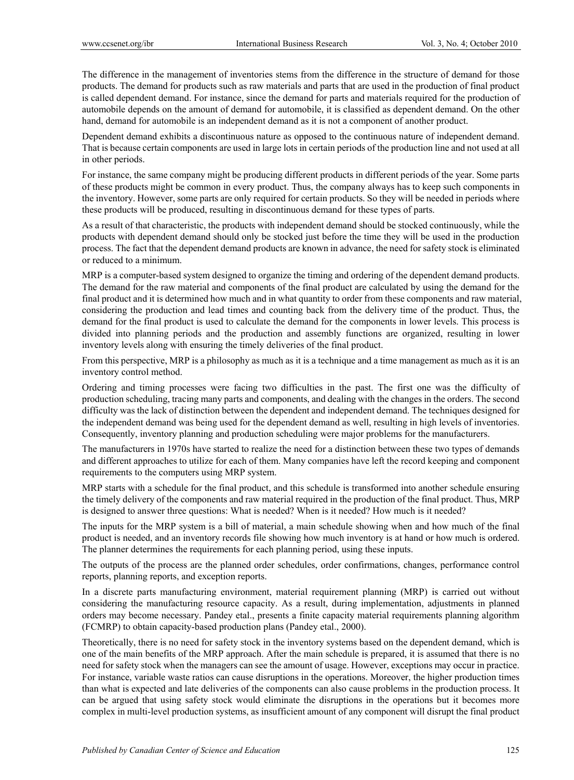The difference in the management of inventories stems from the difference in the structure of demand for those products. The demand for products such as raw materials and parts that are used in the production of final product is called dependent demand. For instance, since the demand for parts and materials required for the production of automobile depends on the amount of demand for automobile, it is classified as dependent demand. On the other hand, demand for automobile is an independent demand as it is not a component of another product.

Dependent demand exhibits a discontinuous nature as opposed to the continuous nature of independent demand. That is because certain components are used in large lots in certain periods of the production line and not used at all in other periods.

For instance, the same company might be producing different products in different periods of the year. Some parts of these products might be common in every product. Thus, the company always has to keep such components in the inventory. However, some parts are only required for certain products. So they will be needed in periods where these products will be produced, resulting in discontinuous demand for these types of parts.

As a result of that characteristic, the products with independent demand should be stocked continuously, while the products with dependent demand should only be stocked just before the time they will be used in the production process. The fact that the dependent demand products are known in advance, the need for safety stock is eliminated or reduced to a minimum.

MRP is a computer-based system designed to organize the timing and ordering of the dependent demand products. The demand for the raw material and components of the final product are calculated by using the demand for the final product and it is determined how much and in what quantity to order from these components and raw material, considering the production and lead times and counting back from the delivery time of the product. Thus, the demand for the final product is used to calculate the demand for the components in lower levels. This process is divided into planning periods and the production and assembly functions are organized, resulting in lower inventory levels along with ensuring the timely deliveries of the final product.

From this perspective, MRP is a philosophy as much as it is a technique and a time management as much as it is an inventory control method.

Ordering and timing processes were facing two difficulties in the past. The first one was the difficulty of production scheduling, tracing many parts and components, and dealing with the changes in the orders. The second difficulty was the lack of distinction between the dependent and independent demand. The techniques designed for the independent demand was being used for the dependent demand as well, resulting in high levels of inventories. Consequently, inventory planning and production scheduling were major problems for the manufacturers.

The manufacturers in 1970s have started to realize the need for a distinction between these two types of demands and different approaches to utilize for each of them. Many companies have left the record keeping and component requirements to the computers using MRP system.

MRP starts with a schedule for the final product, and this schedule is transformed into another schedule ensuring the timely delivery of the components and raw material required in the production of the final product. Thus, MRP is designed to answer three questions: What is needed? When is it needed? How much is it needed?

The inputs for the MRP system is a bill of material, a main schedule showing when and how much of the final product is needed, and an inventory records file showing how much inventory is at hand or how much is ordered. The planner determines the requirements for each planning period, using these inputs.

The outputs of the process are the planned order schedules, order confirmations, changes, performance control reports, planning reports, and exception reports.

In a discrete parts manufacturing environment, material requirement planning (MRP) is carried out without considering the manufacturing resource capacity. As a result, during implementation, adjustments in planned orders may become necessary. Pandey etal., presents a finite capacity material requirements planning algorithm (FCMRP) to obtain capacity-based production plans (Pandey etal., 2000).

Theoretically, there is no need for safety stock in the inventory systems based on the dependent demand, which is one of the main benefits of the MRP approach. After the main schedule is prepared, it is assumed that there is no need for safety stock when the managers can see the amount of usage. However, exceptions may occur in practice. For instance, variable waste ratios can cause disruptions in the operations. Moreover, the higher production times than what is expected and late deliveries of the components can also cause problems in the production process. It can be argued that using safety stock would eliminate the disruptions in the operations but it becomes more complex in multi-level production systems, as insufficient amount of any component will disrupt the final product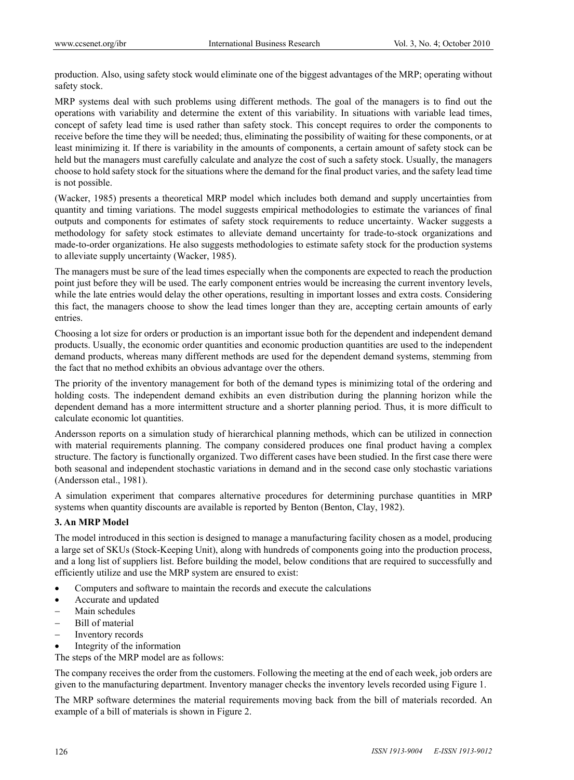production. Also, using safety stock would eliminate one of the biggest advantages of the MRP; operating without safety stock.

MRP systems deal with such problems using different methods. The goal of the managers is to find out the operations with variability and determine the extent of this variability. In situations with variable lead times, concept of safety lead time is used rather than safety stock. This concept requires to order the components to receive before the time they will be needed; thus, eliminating the possibility of waiting for these components, or at least minimizing it. If there is variability in the amounts of components, a certain amount of safety stock can be held but the managers must carefully calculate and analyze the cost of such a safety stock. Usually, the managers choose to hold safety stock for the situations where the demand for the final product varies, and the safety lead time is not possible.

(Wacker, 1985) presents a theoretical MRP model which includes both demand and supply uncertainties from quantity and timing variations. The model suggests empirical methodologies to estimate the variances of final outputs and components for estimates of safety stock requirements to reduce uncertainty. Wacker suggests a methodology for safety stock estimates to alleviate demand uncertainty for trade-to-stock organizations and made-to-order organizations. He also suggests methodologies to estimate safety stock for the production systems to alleviate supply uncertainty (Wacker, 1985).

The managers must be sure of the lead times especially when the components are expected to reach the production point just before they will be used. The early component entries would be increasing the current inventory levels, while the late entries would delay the other operations, resulting in important losses and extra costs. Considering this fact, the managers choose to show the lead times longer than they are, accepting certain amounts of early entries.

Choosing a lot size for orders or production is an important issue both for the dependent and independent demand products. Usually, the economic order quantities and economic production quantities are used to the independent demand products, whereas many different methods are used for the dependent demand systems, stemming from the fact that no method exhibits an obvious advantage over the others.

The priority of the inventory management for both of the demand types is minimizing total of the ordering and holding costs. The independent demand exhibits an even distribution during the planning horizon while the dependent demand has a more intermittent structure and a shorter planning period. Thus, it is more difficult to calculate economic lot quantities.

Andersson reports on a simulation study of hierarchical planning methods, which can be utilized in connection with material requirements planning. The company considered produces one final product having a complex structure. The factory is functionally organized. Two different cases have been studied. In the first case there were both seasonal and independent stochastic variations in demand and in the second case only stochastic variations (Andersson etal., 1981).

A simulation experiment that compares alternative procedures for determining purchase quantities in MRP systems when quantity discounts are available is reported by Benton (Benton, Clay, 1982).

# **3. An MRP Model**

The model introduced in this section is designed to manage a manufacturing facility chosen as a model, producing a large set of SKUs (Stock-Keeping Unit), along with hundreds of components going into the production process, and a long list of suppliers list. Before building the model, below conditions that are required to successfully and efficiently utilize and use the MRP system are ensured to exist:

- Computers and software to maintain the records and execute the calculations
- Accurate and updated
- Main schedules
- Bill of material
- Inventory records
- Integrity of the information

The steps of the MRP model are as follows:

The company receives the order from the customers. Following the meeting at the end of each week, job orders are given to the manufacturing department. Inventory manager checks the inventory levels recorded using Figure 1.

The MRP software determines the material requirements moving back from the bill of materials recorded. An example of a bill of materials is shown in Figure 2.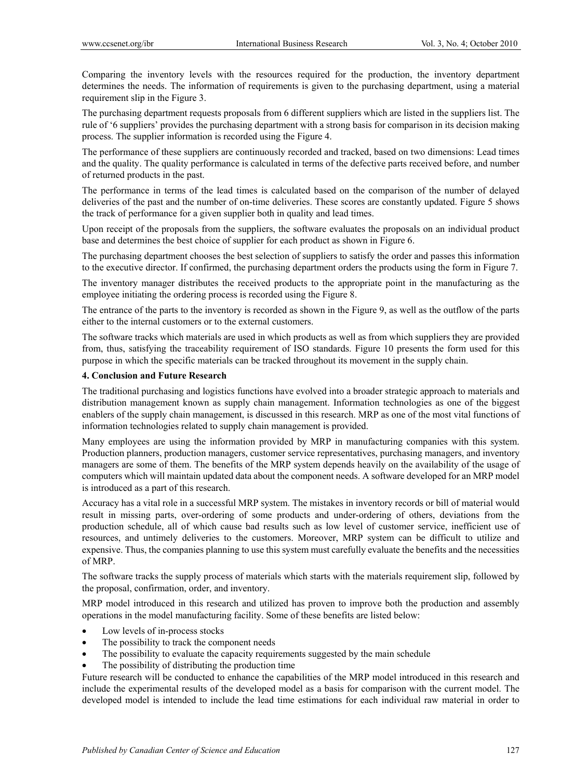Comparing the inventory levels with the resources required for the production, the inventory department determines the needs. The information of requirements is given to the purchasing department, using a material requirement slip in the Figure 3.

The purchasing department requests proposals from 6 different suppliers which are listed in the suppliers list. The rule of '6 suppliers' provides the purchasing department with a strong basis for comparison in its decision making process. The supplier information is recorded using the Figure 4.

The performance of these suppliers are continuously recorded and tracked, based on two dimensions: Lead times and the quality. The quality performance is calculated in terms of the defective parts received before, and number of returned products in the past.

The performance in terms of the lead times is calculated based on the comparison of the number of delayed deliveries of the past and the number of on-time deliveries. These scores are constantly updated. Figure 5 shows the track of performance for a given supplier both in quality and lead times.

Upon receipt of the proposals from the suppliers, the software evaluates the proposals on an individual product base and determines the best choice of supplier for each product as shown in Figure 6.

The purchasing department chooses the best selection of suppliers to satisfy the order and passes this information to the executive director. If confirmed, the purchasing department orders the products using the form in Figure 7.

The inventory manager distributes the received products to the appropriate point in the manufacturing as the employee initiating the ordering process is recorded using the Figure 8.

The entrance of the parts to the inventory is recorded as shown in the Figure 9, as well as the outflow of the parts either to the internal customers or to the external customers.

The software tracks which materials are used in which products as well as from which suppliers they are provided from, thus, satisfying the traceability requirement of ISO standards. Figure 10 presents the form used for this purpose in which the specific materials can be tracked throughout its movement in the supply chain.

# **4. Conclusion and Future Research**

The traditional purchasing and logistics functions have evolved into a broader strategic approach to materials and distribution management known as supply chain management. Information technologies as one of the biggest enablers of the supply chain management, is discussed in this research. MRP as one of the most vital functions of information technologies related to supply chain management is provided.

Many employees are using the information provided by MRP in manufacturing companies with this system. Production planners, production managers, customer service representatives, purchasing managers, and inventory managers are some of them. The benefits of the MRP system depends heavily on the availability of the usage of computers which will maintain updated data about the component needs. A software developed for an MRP model is introduced as a part of this research.

Accuracy has a vital role in a successful MRP system. The mistakes in inventory records or bill of material would result in missing parts, over-ordering of some products and under-ordering of others, deviations from the production schedule, all of which cause bad results such as low level of customer service, inefficient use of resources, and untimely deliveries to the customers. Moreover, MRP system can be difficult to utilize and expensive. Thus, the companies planning to use this system must carefully evaluate the benefits and the necessities of MRP.

The software tracks the supply process of materials which starts with the materials requirement slip, followed by the proposal, confirmation, order, and inventory.

MRP model introduced in this research and utilized has proven to improve both the production and assembly operations in the model manufacturing facility. Some of these benefits are listed below:

- Low levels of in-process stocks
- The possibility to track the component needs
- The possibility to evaluate the capacity requirements suggested by the main schedule
- The possibility of distributing the production time

Future research will be conducted to enhance the capabilities of the MRP model introduced in this research and include the experimental results of the developed model as a basis for comparison with the current model. The developed model is intended to include the lead time estimations for each individual raw material in order to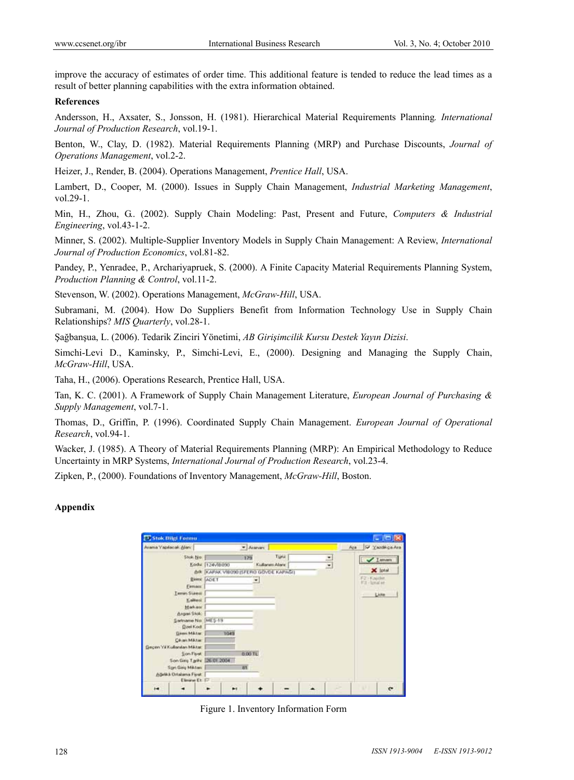improve the accuracy of estimates of order time. This additional feature is tended to reduce the lead times as a result of better planning capabilities with the extra information obtained.

# **References**

Andersson, H., Axsater, S., Jonsson, H. (1981). Hierarchical Material Requirements Planning*. International Journal of Production Research*, vol.19-1.

Benton, W., Clay, D. (1982). Material Requirements Planning (MRP) and Purchase Discounts, *Journal of Operations Management*, vol.2-2.

Heizer, J., Render, B. (2004). Operations Management, *Prentice Hall*, USA.

Lambert, D., Cooper, M. (2000). Issues in Supply Chain Management, *Industrial Marketing Management*, vol.29-1.

Min, H., Zhou, G.. (2002). Supply Chain Modeling: Past, Present and Future, *Computers & Industrial Engineering*, vol.43-1-2.

Minner, S. (2002). Multiple-Supplier Inventory Models in Supply Chain Management: A Review, *International Journal of Production Economics*, vol.81-82.

Pandey, P., Yenradee, P., Archariyapruek, S. (2000). A Finite Capacity Material Requirements Planning System, *Production Planning & Control*, vol.11-2.

Stevenson, W. (2002). Operations Management, *McGraw-Hill*, USA.

Subramani, M. (2004). How Do Suppliers Benefit from Information Technology Use in Supply Chain Relationships? *MIS Quarterly*, vol.28-1.

Şağbanşua, L. (2006). Tedarik Zinciri Yönetimi, *AB Girişimcilik Kursu Destek Yayın Dizisi*.

Simchi-Levi D., Kaminsky, P., Simchi-Levi, E., (2000). Designing and Managing the Supply Chain, *McGraw-Hill*, USA.

Taha, H., (2006). Operations Research, Prentice Hall, USA.

Tan, K. C. (2001). A Framework of Supply Chain Management Literature, *European Journal of Purchasing & Supply Management*, vol.7-1.

Thomas, D., Griffin, P. (1996). Coordinated Supply Chain Management. *European Journal of Operational Research*, vol.94-1.

Wacker, J. (1985). A Theory of Material Requirements Planning (MRP): An Empirical Methodology to Reduce Uncertainty in MRP Systems, *International Journal of Production Research*, vol.23-4.

Zipken, P., (2000). Foundations of Inventory Management, *McGraw-Hill*, Boston.

#### **Appendix**

|                       | Stok Bilgi Formu             |                   |                                      |                |       |                          |                                | $-10x$  |
|-----------------------|------------------------------|-------------------|--------------------------------------|----------------|-------|--------------------------|--------------------------------|---------|
| Asama Vapilacak Alan: |                              |                   |                                      | - Acarvare     |       |                          | Ain IV Yazdriga Ain            |         |
|                       | Stok No.                     |                   | 129                                  |                | Turix | Ξ                        |                                | Tamara  |
|                       |                              | Eody 124/8090     |                                      | Kullanen Alanc |       | $\overline{\phantom{a}}$ |                                | X lotal |
|                       |                              |                   | AR KAPAK VIBOSO ISFERO GOVDE KAPAGI) |                |       |                          |                                |         |
|                       |                              | <b>Binne ADET</b> |                                      |                |       |                          | F2 + Kajidan<br>F.I.- lotal et |         |
|                       | Famou:                       |                   |                                      |                |       |                          |                                |         |
|                       | Tenun Sizesi                 |                   |                                      |                |       |                          |                                | Lime    |
|                       | Kalieti:                     |                   |                                      |                |       |                          |                                |         |
|                       | Markau:                      |                   |                                      |                |       |                          |                                |         |
|                       | Angeri Stok:                 |                   |                                      |                |       |                          |                                |         |
|                       | Sartname No: MES-19          |                   |                                      |                |       |                          |                                |         |
|                       | <b>Qzei Kod</b>              |                   |                                      |                |       |                          |                                |         |
|                       | Genri Mådar:                 |                   | 1049                                 |                |       |                          |                                |         |
|                       | Cikian Mikhai:               |                   |                                      |                |       |                          |                                |         |
|                       | Geçen Yıl Kullanılan Miktar. |                   |                                      |                |       |                          |                                |         |
|                       | <b>Son Figure</b>            |                   | 0.00T <sub>L</sub>                   |                |       |                          |                                |         |
|                       | Son Ging Tarihi: 26.01.2004  |                   |                                      |                |       |                          |                                |         |
|                       | Spri Gelp Mikton:            |                   | 81                                   |                |       |                          |                                |         |
|                       | Ağırlıklı Ortalama Fiest.    |                   |                                      |                |       |                          |                                |         |
|                       | Elevene Et. ITT              |                   |                                      |                |       |                          |                                |         |
| $+ -$                 |                              |                   |                                      |                |       | ÷                        | u                              | e       |

Figure 1. Inventory Information Form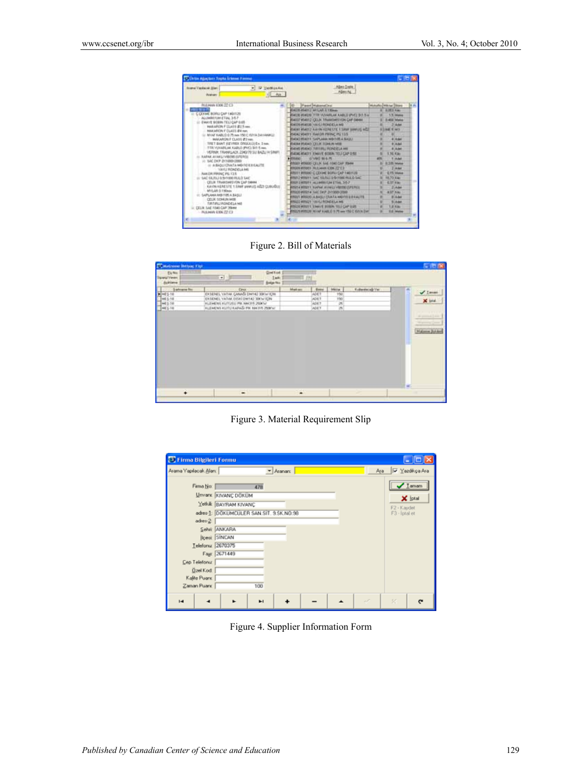| . IF YANKINA<br><b>Instrument Charles (Class)</b><br><b>ALC: YES</b><br>Assort | Abec Insie<br>Allanci Az                                   |                          |  |
|--------------------------------------------------------------------------------|------------------------------------------------------------|--------------------------|--|
| PASSWAN 4.106 22' C3                                                           | O PastManuCro                                              | Mutules Mary Street      |  |
| ma                                                                             | <b>BUSINE ASSESSED AND IN TIREALLY</b>                     | <b>B 820154</b>          |  |
| COLLINE BORD CAP LIBROOM<br>ALUMBIVISM &TIAL 3-5-7                             | FACIO VEHICLE TTP: VL/VARLAX AABLE (PVC) 2/3 S =           | 1.5 March                |  |
| EMANT BOERLTELL CAP (LKR)                                                      | E4037 #54012 CELIX TRANSMEDION CAP DIRAIL                  | ST SHOE Make             |  |
| HALLARDS FILATE #15 mm                                                         | <b>BUASSIN WINNINGS THAN \$1 PROVIDED A RAD TO</b>         | 744                      |  |
| MARJARON F CLASS #4 mm                                                         | EAGHT MAKED AWYIN KEPALSTE Y SANA SAWILIS AGE              | <b><i>UTABLICALS</i></b> |  |
| NVAF KABLIS G 75 mm 150 C H2VA SAVANKEL!                                       | <b>PADAL WARTS HAVEN PHINC PS 135</b>                      |                          |  |
| MAKARON F CLASS #3 wes                                                         | <b>Black I WADNE SAPLANA MODERN NAVLE</b>                  | <b>KIRAH</b>             |  |
| THET BINT HEYHEX DRILLEDEN I nan-                                              | <b>BOATAA POATACO Y ROJA TOJAALIN NEIST</b>                | <b>Rinder</b>            |  |
| TTR VUNARLAK KABLO (PVC); S/IT 5 nov.                                          | <b>READAS ASADADI, TURNING, PEDICINELA AND</b>             | <b>B. Automotive</b>     |  |
| VERNIK TRANFLACK Z3KG/70 SLI BAZLI IH SINIF                                    | <b>PEACHE REACTY (ENANYE RISINA TIEL) CAP II SE</b>        | 1.36 Kin                 |  |
| FARME AVAILITY/BOOK (SPERCE<br>@ SAC DKP 2/1000/2000                           | <b>GTAND BEATER</b><br>additional                          | <b>ELAND</b>             |  |
| - A BIGLI CIVILIA MOOD EX EALITE                                               | <b>RYACET WINDOW CELLS, SAE 1040 CAP WARM</b>              | 8.370 Motor              |  |
| THE VAN'LY RONDELLA HAS                                                        | EROOM RIVOCE IN LEASEN FOOL 22"E3                          | 2 August                 |  |
| AWAIDA PERINC PIL 13:5                                                         | <b>BIRDIT BIRDIKE C. CEXAME BISPAY CAP 1 METERS</b>        | <b>CTT Home</b>          |  |
| MC 18.8LLD 9/1000 FLUT LAC                                                     | TAT G X WORK WAS SILLER TAX! FROM THE T                    | 10.73.4 km               |  |
| CELIX TRANSHISTICAL CAP SAMM                                                   | FIRST JAITOTT ALLIANSI/LIN ETNIL 3-5-7                     | 10.37 KW                 |  |
| KAYN KERESTE 1.5MH WARLIS ARTISTARIST                                          | BRIZES & MOSEY I: YAARAK, WILNIE EN VISITORI (SPIERE).     | $200 - 400$              |  |
| MVLARE D. TSDaver                                                              | <b>ROOD #STEFA TULE SWIP BIRTING COAM</b>                  | 4.07.144                 |  |
| SAFLANA METOS A SASLE<br>CELIX COMUNIMOR                                       | <b>ETAX E ETAX A BASE CAR FA MOTE ETAX TONE</b>            | <b>RAM</b>               |  |
| TIRTIFICI PICKER LA MAT                                                        | <b>BIROCC MIROZY : VAYEJ RENENELA NR</b>                   | <b>RIAM</b>              |  |
| <b>CELIR SAE FIND CAP TRANS</b>                                                | <b>PAGE FAST, ENNY EDITH TELLCAT SAT</b>                   | 12,134                   |  |
| - PAILMAN EXIX 22 C3                                                           | <b>PIRODYL MYROON INCLUDE A ANEL OIL FOR INVESTIGATION</b> | <b>S.C. Mates</b>        |  |
|                                                                                |                                                            |                          |  |



| Eu No.<br><b>Signeral Venera</b><br>Schlane:                        | ä)                                                                                                                                                                 | <b>Greifind</b><br>Ist-<br><b>Balpi Aki</b> |       |                                           |                                  |                        |                                                                                   |
|---------------------------------------------------------------------|--------------------------------------------------------------------------------------------------------------------------------------------------------------------|---------------------------------------------|-------|-------------------------------------------|----------------------------------|------------------------|-----------------------------------------------------------------------------------|
| 3 administrative<br><b>BUHES-10</b><br>1465-18<br>1441.18<br>MES 10 | Drux.<br>EXSENEL VATAR CANADI ENTAL 30KW ICH<br>EXISTABLE VALUE DISKED HITLE 2000A/ ICBV<br>KLENERS AUTOSS PR MADE DERIVE<br>KLENDING KUTU KAPASI PR. NALIDE JEROV |                                             | Maker | . Every<br>ADET.<br>ADET<br>Add 1<br>ADET | Miller:<br>150<br>100<br>ä,<br>u | <b>Eutherinced Ter</b> | $\sqrt{1}$ in and<br>$X$ is $k$<br>- 199<br><b>All provided</b><br>Malama Buldest |
|                                                                     |                                                                                                                                                                    |                                             |       |                                           |                                  |                        |                                                                                   |

Figure 3. Material Requirement Slip

| Arama Yapılacak Alan: | $-$ Aranan:                             | V Yazdikça Ara<br>Ara |
|-----------------------|-----------------------------------------|-----------------------|
| Firma No:             | 478                                     | Tamam                 |
|                       | Unvan: KIVANÇ DÖKÜM                     | X Iptal               |
|                       | Yelkik BAYRAM KIVANC                    | F2 - Kaudet           |
|                       | adres-1: DOKUMCULER SAN.SIT. 9.SK.NO.98 | F3 - Iptal et         |
| adeer2                |                                         |                       |
|                       | Sehri ANKARA                            |                       |
|                       | <b>Ilgest SINCAN</b>                    |                       |
|                       | Telefonux 2670375                       |                       |
|                       | Fag: 2671449                            |                       |
| <b>Cep Telefonu:</b>  |                                         |                       |
| Dael Kod:             |                                         |                       |
|                       |                                         |                       |
| Kalife Puanc          |                                         |                       |

Figure 4. Supplier Information Form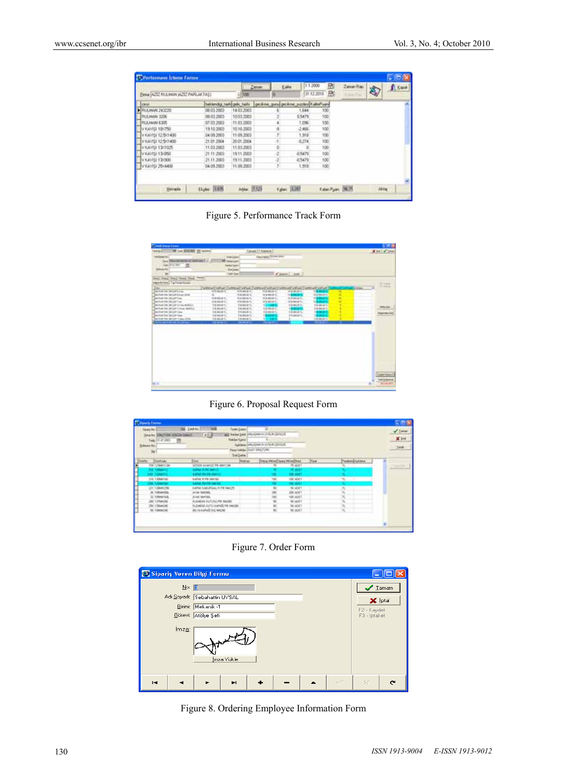|                                      |            |                               | Zanan                               | <b>Kalle</b> | 1.1.2000   | 田   | Zanan Rap        |             | L Con |
|--------------------------------------|------------|-------------------------------|-------------------------------------|--------------|------------|-----|------------------|-------------|-------|
| Fimia (AZIZ PIULMAN (AZIZ PARLAKTAS) |            | 100                           |                                     |              | 31.12.2010 | BI  | <b>Furnished</b> |             |       |
| <b>Scenai</b>                        |            | beklendig tarifugelic tarifu- | geckne gundgeckne juzzen Kaller van |              |            |     |                  |             |       |
| FRULMAN 243229                       | 08 03 2003 | 14.03.2003                    |                                     |              | 1,644      | 100 |                  |             |       |
| FILKMAN 3206                         | 09/03/2003 | 10032003                      |                                     |              | 0.5479     | 100 |                  |             |       |
| FILILMAN 630S                        | 07 03 2003 | 11.03.2003                    |                                     |              | 1,096      | 100 |                  |             |       |
| IV KAYISI 10:750                     | 19.10.2003 | 10.10.2003                    |                                     |              | $-2.466$   | 100 |                  |             |       |
| V KAYIŞI 12.5/1400                   | 04.09.2003 | 11.09.2003                    |                                     |              | 1,918      | 100 |                  |             |       |
| V KAYSI 12:50:400                    | 21.01.2004 | 20.01.2004                    | $\mathcal{A}$                       |              | $-0.274$   | 100 |                  |             |       |
| V KAYISI 13/1025                     | 11.03.2003 | 11.03.2003                    |                                     | ň            |            | 100 |                  |             |       |
| DAKWASI 13-280                       | 21.11.2003 | 19.11.2003                    |                                     |              | 0.5479     | 100 |                  |             |       |
| V KAYISI 13/300                      | 21.11.2003 | 19.11.2003                    |                                     |              | 4,5479     | 100 |                  |             |       |
| IV KAYSI 25/4400                     | D4.09.2003 | 11.09.2003                    |                                     | 2            | 1.918      | 100 |                  |             |       |
|                                      |            | ----                          |                                     |              |            |     |                  |             |       |
|                                      |            |                               |                                     |              |            |     |                  |             |       |
|                                      |            |                               |                                     |              |            |     |                  |             |       |
| Hesiple                              | Daler 1188 | Arkar: 7.123                  |                                     | Kaler: 3,267 |            |     | Kalan Puan: ME71 | <b>Aine</b> |       |

Figure 5. Performance Track Form

| <b>WE LAN BUILDIER FR AUTOMA</b><br>lass (ps)    |                                                                                       |                                              | Town !! haven't         |                        |                              |                               | Kind of loss                           |
|--------------------------------------------------|---------------------------------------------------------------------------------------|----------------------------------------------|-------------------------|------------------------|------------------------------|-------------------------------|----------------------------------------|
| <b>INFERING</b>                                  |                                                                                       | <b>Town Count</b>                            | <b>Rechesi Live pro</b> |                        |                              |                               |                                        |
| Line (Requirements) 12 Turns and it +            | <b>WE</b> <i>Instantial</i>                                                           |                                              |                         |                        |                              |                               |                                        |
| 房<br>Ask (Fig. and                               |                                                                                       | <b>Hubbar Game</b>                           |                         |                        |                              |                               |                                        |
| <b>Colombia</b> Reg                              |                                                                                       | <b>Earland</b>                               |                         |                        |                              |                               |                                        |
| m                                                |                                                                                       | Twill (Line)                                 |                         | of January   Town      |                              |                               |                                        |
| Inc.] Firey Road Road Total Their                |                                                                                       |                                              |                         |                        |                              |                               |                                        |
| March Tele   Tap Terais Suran                    |                                                                                       |                                              |                         |                        |                              |                               | <b>KE Garrette</b>                     |
| m                                                | without collect continued without College Collect Continued collect Continued without |                                              |                         |                        |                              |                               | <b>PERMIT</b>                          |
| particulate the control car-                     | <b>STREET</b>                                                                         | to it statut to                              | IS AS MAIN IL           | <b>STARBURN</b>        | ۰                            | and the anti-state control of |                                        |
| Decised into behind to be collected              |                                                                                       | th fan dadk elk fra                          | 14 Grammatich.          |                        | <b>WARRANT</b>               |                               |                                        |
| <b>Sactuarith Incorney</b>                       | PERMIT.                                                                               | 19.00 data at 74.                            | 日本製作し                   | <b>Holt decise for</b> | $-2$ density                 |                               |                                        |
| particulates (de) of fines                       | of at was air for                                                                     | comment in fa-                               | <b>Hillman</b>          | state between the      | ----                         |                               |                                        |
| <b>Backed in adult in the Nither</b>             | <b>KILMON'S</b>                                                                       | <b>YARRAN N</b>                              |                         | <b>California In</b>   | <b>Caldwark</b>              |                               | $m_{21}$                               |
| NAMES WAS FOUND BUILDING.                        | 13,000 %                                                                              | <b><i>EXEMINER</i></b>                       | <b>LA ANGELA</b>        |                        | <b><i><u>GAMMER</u></i></b>  |                               |                                        |
| Best Mail (44) 240 CAP 1 (mm)                    | 13,000 %                                                                              | <b><i>B'ILBEAK IL</i></b>                    | <b><i>STANDART</i></b>  | 4 is more in.          | <b><i><u>Product</u></i></b> |                               | <b>Northern</b>                        |
| exhibit in 1804 films<br>entering securities and | <b>EXHIBIT.</b><br>Chemical C.                                                        | <b>EXHIBITS</b><br><b><i>ATMOSFIELDS</i></b> | <b>Lander</b><br>٠      | A/Academic N.          | 19-40-41                     |                               |                                        |
| <b>TAXABLE IN</b>                                | <b>STATISTICS</b>                                                                     | <b>COLOR</b>                                 | -<br><b>Situane</b>     |                        | <b>TANKS</b>                 |                               |                                        |
| a border and the                                 |                                                                                       | . .                                          | on the con-             | <b>Section</b>         |                              |                               |                                        |
|                                                  |                                                                                       |                                              |                         |                        |                              |                               |                                        |
|                                                  |                                                                                       |                                              |                         |                        |                              |                               |                                        |
|                                                  |                                                                                       |                                              |                         |                        |                              |                               |                                        |
|                                                  |                                                                                       |                                              |                         |                        |                              |                               |                                        |
|                                                  |                                                                                       |                                              |                         |                        |                              |                               |                                        |
|                                                  |                                                                                       |                                              |                         |                        |                              |                               |                                        |
|                                                  |                                                                                       |                                              |                         |                        |                              |                               |                                        |
|                                                  |                                                                                       |                                              |                         |                        |                              |                               |                                        |
|                                                  |                                                                                       |                                              |                         |                        |                              |                               |                                        |
|                                                  |                                                                                       |                                              |                         |                        |                              |                               |                                        |
|                                                  |                                                                                       |                                              |                         |                        |                              |                               |                                        |
|                                                  |                                                                                       |                                              |                         |                        |                              |                               |                                        |
|                                                  |                                                                                       |                                              |                         |                        |                              |                               |                                        |
|                                                  |                                                                                       |                                              |                         |                        |                              |                               | <b><i><u>Stanbor Steven</u> II</i></b> |
|                                                  |                                                                                       |                                              |                         |                        |                              |                               | and College of                         |

Figure 6. Proposal Request Form

| <b>Chicaris Forme</b>                                                |                                                     |                                                                                           |                                                                                     |                                                                                                   |                                        |             |                                                                                                      |                                |
|----------------------------------------------------------------------|-----------------------------------------------------|-------------------------------------------------------------------------------------------|-------------------------------------------------------------------------------------|---------------------------------------------------------------------------------------------------|----------------------------------------|-------------|------------------------------------------------------------------------------------------------------|--------------------------------|
| Lans Mar<br><b>University</b><br>fair.<br><b>Calibrato Rai</b><br>34 | W.<br>INCTURE DOCUM SUBJET<br>3147201 128<br>u m    | <b>IMANUE</b><br>$+1.1$                                                                   | <b>Taske (juma)</b><br><b>Nation Same</b><br>Marines av TAAT DRICTLES<br>Siet Swite | 30 Lucces<br>and leader paid intercepence system sensor<br>Automobile LANE ASSAULTS STOLEN SEXUSE |                                        |             |                                                                                                      | $\sqrt{2}$<br>$X$ into<br>Tank |
|                                                                      | Thurs us.                                           | Case:                                                                                     | <b>Status</b>                                                                       |                                                                                                   | <b>Draw Make Town Windline</b>         | <b>Page</b> | Feeinglutine                                                                                         |                                |
| <b>The Second Second</b>                                             | <b>TOR 1/20041124</b><br><b>TERRIT</b>              | <b>JOVER AVAILT PA MAY LINE</b><br><b>CARAL IS FROM FARTER</b><br><b>EAPAK RICHK GENS</b> |                                                                                     |                                                                                                   | 75 ADET<br><b>BAC</b>                  |             |                                                                                                      | <b>CENTRE</b>                  |
|                                                                      | <b>214 TJIRAFIA</b>                                 | <b>EARTH R. PRI BATIST</b>                                                                |                                                                                     | <b>TOO</b>                                                                                        | 1934.301                               |             | m.<br><u>a matana a</u>                                                                              |                                |
|                                                                      | <b>LIT TJENICHE</b><br>30 100 million<br>37.100AF63 | AWAY AND POLICE FOR BACKS<br>Arvive Newton                                                |                                                                                     | itis                                                                                              | <b>BLACKY</b><br>TAGA 100<br>130 April |             | 'n,<br>$\sim$                                                                                        |                                |
|                                                                      | 36.135ac26<br>251 1304426                           | <b>ELEMENT FUTURU PR MAZIE:</b><br>VEHICLE EDG SAVAS PE MODE                              |                                                                                     | w<br>w<br>$\overline{w}$                                                                          | <b>MART</b><br>to ADD                  |             | h,<br>$\frac{1}{2} \left( \frac{1}{2} \right) \left( \frac{1}{2} \right) \left( \frac{1}{2} \right)$ |                                |
|                                                                      | THE TOWARDOOR                                       | <b>RUNGHAD IN MORE</b>                                                                    |                                                                                     | w                                                                                                 | <b>NUCET</b>                           |             | 'n.                                                                                                  |                                |
|                                                                      |                                                     |                                                                                           |                                                                                     |                                                                                                   |                                        |             |                                                                                                      |                                |

Figure 7. Order Form

| Siparis Veren Bilgi Formu |                                                 |                                   |
|---------------------------|-------------------------------------------------|-----------------------------------|
| $N$ o: $E$                |                                                 | $\blacktriangleright$ $\bot$ amam |
|                           | Adı Soyadı: Sebahattin UYSAL                    | $\times$ iptal                    |
|                           | Birimi: Mekanik -1                              | F2 - Kaydet                       |
|                           | Görevi: Atölye Şefi                             | F3 - İptal et                     |
| İmz <u>a</u> :            | İmza Yükle                                      |                                   |
| $\blacksquare$            | -0<br>$\blacktriangleright$<br>$\blacktriangle$ | 53<br>G                           |

Figure 8. Ordering Employee Information Form